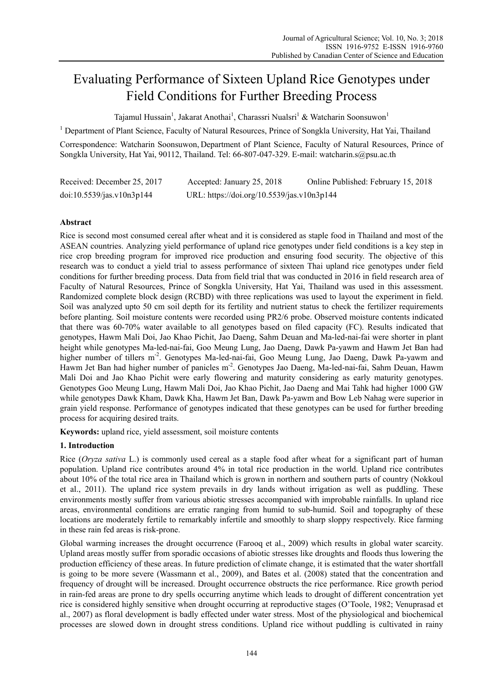# Evaluating Performance of Sixteen Upland Rice Genotypes under Field Conditions for Further Breeding Process

Tajamul Hussain<sup>1</sup>, Jakarat Anothai<sup>1</sup>, Charassri Nualsri<sup>1</sup> & Watcharin Soonsuwon<sup>1</sup>

<sup>1</sup> Department of Plant Science, Faculty of Natural Resources, Prince of Songkla University, Hat Yai, Thailand

Correspondence: Watcharin Soonsuwon, Department of Plant Science, Faculty of Natural Resources, Prince of Songkla University, Hat Yai, 90112, Thailand. Tel: 66-807-047-329. E-mail: watcharin.s@psu.ac.th

| Received: December 25, 2017 | Accepted: January 25, 2018                 | Online Published: February 15, 2018 |
|-----------------------------|--------------------------------------------|-------------------------------------|
| doi:10.5539/jas.v10n3p144   | URL: https://doi.org/10.5539/jas.v10n3p144 |                                     |

# **Abstract**

Rice is second most consumed cereal after wheat and it is considered as staple food in Thailand and most of the ASEAN countries. Analyzing yield performance of upland rice genotypes under field conditions is a key step in rice crop breeding program for improved rice production and ensuring food security. The objective of this research was to conduct a yield trial to assess performance of sixteen Thai upland rice genotypes under field conditions for further breeding process. Data from field trial that was conducted in 2016 in field research area of Faculty of Natural Resources, Prince of Songkla University, Hat Yai, Thailand was used in this assessment. Randomized complete block design (RCBD) with three replications was used to layout the experiment in field. Soil was analyzed upto 50 cm soil depth for its fertility and nutrient status to check the fertilizer requirements before planting. Soil moisture contents were recorded using PR2/6 probe. Observed moisture contents indicated that there was 60-70% water available to all genotypes based on filed capacity (FC). Results indicated that genotypes, Hawm Mali Doi, Jao Khao Pichit, Jao Daeng, Sahm Deuan and Ma-led-nai-fai were shorter in plant height while genotypes Ma-led-nai-fai, Goo Meung Lung, Jao Daeng, Dawk Pa-yawm and Hawm Jet Ban had higher number of tillers m<sup>-2</sup>. Genotypes Ma-led-nai-fai, Goo Meung Lung, Jao Daeng, Dawk Pa-yawm and Hawm Jet Ban had higher number of panicles m<sup>-2</sup>. Genotypes Jao Daeng, Ma-led-nai-fai, Sahm Deuan, Hawm Mali Doi and Jao Khao Pichit were early flowering and maturity considering as early maturity genotypes. Genotypes Goo Meung Lung, Hawm Mali Doi, Jao Khao Pichit, Jao Daeng and Mai Tahk had higher 1000 GW while genotypes Dawk Kham, Dawk Kha, Hawm Jet Ban, Dawk Pa-yawm and Bow Leb Nahag were superior in grain yield response. Performance of genotypes indicated that these genotypes can be used for further breeding process for acquiring desired traits.

**Keywords:** upland rice, yield assessment, soil moisture contents

# **1. Introduction**

Rice (*Oryza sativa* L.) is commonly used cereal as a staple food after wheat for a significant part of human population. Upland rice contributes around 4% in total rice production in the world. Upland rice contributes about 10% of the total rice area in Thailand which is grown in northern and southern parts of country (Nokkoul et al., 2011). The upland rice system prevails in dry lands without irrigation as well as puddling. These environments mostly suffer from various abiotic stresses accompanied with improbable rainfalls. In upland rice areas, environmental conditions are erratic ranging from humid to sub-humid. Soil and topography of these locations are moderately fertile to remarkably infertile and smoothly to sharp sloppy respectively. Rice farming in these rain fed areas is risk-prone.

Global warming increases the drought occurrence (Farooq et al., 2009) which results in global water scarcity. Upland areas mostly suffer from sporadic occasions of abiotic stresses like droughts and floods thus lowering the production efficiency of these areas. In future prediction of climate change, it is estimated that the water shortfall is going to be more severe (Wassmann et al., 2009), and Bates et al. (2008) stated that the concentration and frequency of drought will be increased. Drought occurrence obstructs the rice performance. Rice growth period in rain-fed areas are prone to dry spells occurring anytime which leads to drought of different concentration yet rice is considered highly sensitive when drought occurring at reproductive stages (O'Toole, 1982; Venuprasad et al., 2007) as floral development is badly effected under water stress. Most of the physiological and biochemical processes are slowed down in drought stress conditions. Upland rice without puddling is cultivated in rainy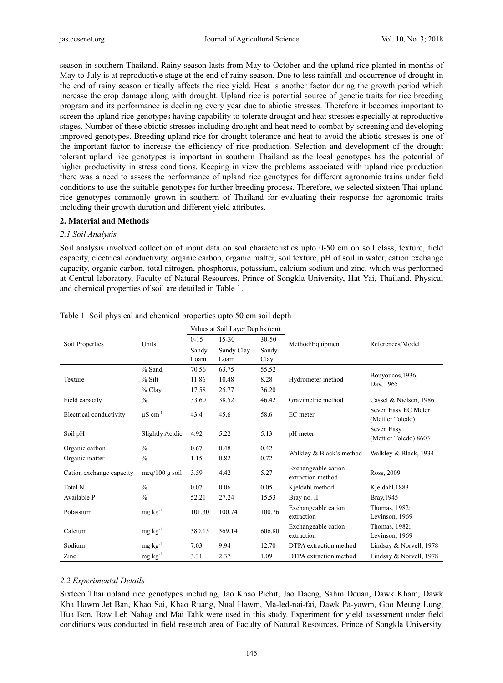season in southern Thailand. Rainy season lasts from May to October and the upland rice planted in months of May to July is at reproductive stage at the end of rainy season. Due to less rainfall and occurrence of drought in the end of rainy season critically affects the rice yield. Heat is another factor during the growth period which increase the crop damage along with drought. Upland rice is potential source of genetic traits for rice breeding program and its performance is declining every year due to abiotic stresses. Therefore it becomes important to screen the upland rice genotypes having capability to tolerate drought and heat stresses especially at reproductive stages. Number of these abiotic stresses including drought and heat need to combat by screening and developing improved genotypes. Breeding upland rice for drought tolerance and heat to avoid the abiotic stresses is one of the important factor to increase the efficiency of rice production. Selection and development of the drought tolerant upland rice genotypes is important in southern Thailand as the local genotypes has the potential of higher productivity in stress conditions. Keeping in view the problems associated with upland rice production there was a need to assess the performance of upland rice genotypes for different agronomic trains under field conditions to use the suitable genotypes for further breeding process. Therefore, we selected sixteen Thai upland rice genotypes commonly grown in southern of Thailand for evaluating their response for agronomic traits including their growth duration and different yield attributes.

# **2. Material and Methods**

## *2.1 Soil Analysis*

Soil analysis involved collection of input data on soil characteristics upto 0-50 cm on soil class, texture, field capacity, electrical conductivity, organic carbon, organic matter, soil texture, pH of soil in water, cation exchange capacity, organic carbon, total nitrogen, phosphorus, potassium, calcium sodium and zinc, which was performed at Central laboratory, Faculty of Natural Resources, Prince of Songkla University, Hat Yai, Thailand. Physical and chemical properties of soil are detailed in Table 1.

|                          | Units                    | Values at Soil Layer Depths (cm) |            |           |                                          |                                         |  |
|--------------------------|--------------------------|----------------------------------|------------|-----------|------------------------------------------|-----------------------------------------|--|
| Soil Properties          |                          | $0 - 15$                         | $15 - 30$  | $30 - 50$ | Method/Equipment                         | References/Model                        |  |
|                          |                          | Sandy                            | Sandy Clay | Sandy     |                                          |                                         |  |
|                          |                          | Loam                             | Loam       | Clay      |                                          |                                         |  |
|                          | % Sand                   | 70.56                            | 63.75      | 55.52     |                                          | Bouyoucos, 1936;<br>Day, 1965           |  |
| Texture                  | % Silt                   | 11.86                            | 10.48      | 8.28      | Hydrometer method                        |                                         |  |
|                          | % Clay                   | 17.58                            | 25.77      | 36.20     |                                          |                                         |  |
| Field capacity           | $\frac{0}{0}$            | 33.60                            | 38.52      | 46.42     | Gravimetric method                       | Cassel & Nielsen, 1986                  |  |
| Electrical conductivity  | $\mu$ S cm <sup>-1</sup> | 43.4                             | 45.6       | 58.6      | EC meter                                 | Seven Easy EC Meter<br>(Mettler Toledo) |  |
| Soil pH                  | Slightly Acidic          | 4.92                             | 5.22       | 5.13      | pH meter                                 | Seven Easy<br>(Mettler Toledo) 8603     |  |
| Organic carbon           | $\frac{0}{0}$            | 0.67                             | 0.48       | 0.42      | Walkley & Black's method                 | Walkley & Black, 1934                   |  |
| Organic matter           | $\frac{0}{0}$            | 1.15                             | 0.82       | 0.72      |                                          |                                         |  |
| Cation exchange capacity | meq/100 g soil           | 3.59                             | 4.42       | 5.27      | Exchangeable cation<br>extraction method | Ross, 2009                              |  |
| Total N                  | $\frac{0}{0}$            | 0.07                             | 0.06       | 0.05      | Kjeldahl method                          | Kjeldahl, 1883                          |  |
| Available P              | $\frac{0}{0}$            | 52.21                            | 27.24      | 15.53     | Bray no. II                              | Bray, 1945                              |  |
| Potassium                | $mg \, kg^{-1}$          | 101.30                           | 100.74     | 100.76    | Exchangeable cation<br>extraction        | Thomas, 1982;<br>Levinson, 1969         |  |
| Calcium                  | $mg \, kg^{-1}$          | 380.15                           | 569.14     | 606.80    | Exchangeable cation<br>extraction        | Thomas, 1982;<br>Levinson, 1969         |  |
| Sodium                   | $mg \, kg^{-1}$          | 7.03                             | 9.94       | 12.70     | DTPA extraction method                   | Lindsay & Norvell, 1978                 |  |
| Zinc                     | $mg \, kg^{-1}$          | 3.31                             | 2.37       | 1.09      | DTPA extraction method                   | Lindsay & Norvell, 1978                 |  |

| Table 1. Soil physical and chemical properties upto 50 cm soil depth |  |
|----------------------------------------------------------------------|--|
|----------------------------------------------------------------------|--|

# *2.2 Experimental Details*

Sixteen Thai upland rice genotypes including, Jao Khao Pichit, Jao Daeng, Sahm Deuan, Dawk Kham, Dawk Kha Hawm Jet Ban, Khao Sai, Khao Ruang, Nual Hawm, Ma-led-nai-fai, Dawk Pa-yawm, Goo Meung Lung, Hua Bon, Bow Leb Nahag and Mai Tahk were used in this study. Experiment for yield assessment under field conditions was conducted in field research area of Faculty of Natural Resources, Prince of Songkla University,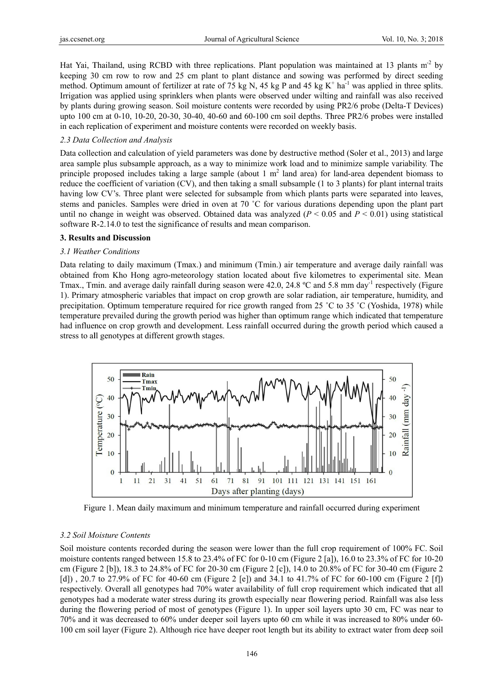Hat Yai, Thailand, using RCBD with three replications. Plant population was maintained at 13 plants m<sup>-2</sup> by keeping 30 cm row to row and 25 cm plant to plant distance and sowing was performed by direct seeding method. Optimum amount of fertilizer at rate of 75 kg N, 45 kg P and 45 kg K<sup>+</sup> ha<sup>-1</sup> was applied in three splits. Irrigation was applied using sprinklers when plants were observed under wilting and rainfall was also received by plants during growing season. Soil moisture contents were recorded by using PR2/6 probe (Delta-T Devices) upto 100 cm at 0-10, 10-20, 20-30, 30-40, 40-60 and 60-100 cm soil depths. Three PR2/6 probes were installed in each replication of experiment and moisture contents were recorded on weekly basis.

#### 2.3 Data Collection and Analysis

Data collection and calculation of yield parameters was done by destructive method (Soler et al., 2013) and large area sample plus subsample approach, as a way to minimize work load and to minimize sample variability. The principle proposed includes taking a large sample (about 1  $m<sup>2</sup>$  land area) for land-area dependent biomass to reduce the coefficient of variation (CV), and then taking a small subsample  $(1 \text{ to } 3 \text{ plants})$  for plant internal traits having low CV's. Three plant were selected for subsample from which plants parts were separated into leaves, stems and panicles. Samples were dried in oven at 70 °C for various durations depending upon the plant part until no change in weight was observed. Obtained data was analyzed  $(P < 0.05$  and  $P < 0.01)$  using statistical software R-2.14.0 to test the significance of results and mean comparison.

#### **3. Results and Discussion**

## *3.1 Weathe er Conditions*

Data relating to daily maximum (Tmax.) and minimum (Tmin.) air temperature and average daily rainfall was obtained from Kho Hong agro-meteorology station located about five kilometres to experimental site. Mean Tmax., Tmin. and average daily rainfall during season were 42.0, 24.8 °C and 5.8 mm day<sup>-1</sup> respectively (Figure 1). Primary atmospheric variables that impact on crop growth are solar radiation, air temperature, humidity, and precipitation. Optimum temperature required for rice growth ranged from 25 °C to 35 °C (Yoshida, 1978) while temperature prevailed during the growth period was higher than optimum range which indicated that temperature had influence on crop growth and development. Less rainfall occurred during the growth period which caused a stress to all genotypes at different growth stages.



Figure 1. Mean daily maximum and minimum temperature and rainfall occurred during experiment

#### 3.2 Soil Moisture Contents

Soil moisture contents recorded during the season were lower than the full crop requirement of 100% FC. Soil moisture contents ranged between  $15.8$  to  $23.4\%$  of FC for 0-10 cm (Figure 2 [a]), 16.0 to  $23.3\%$  of FC for 10-20 cm (Figure 2 [b]), 18.3 to 24.8% of FC for 20-30 cm (Figure 2 [c]), 14.0 to 20.8% of FC for 30-40 cm (Figure 2 [d]), 20.7 to 27.9% of FC for 40-60 cm (Figure 2 [e]) and 34.1 to 41.7% of FC for 60-100 cm (Figure 2 [f]) respectively. Overall all genotypes had 70% water availability of full crop requirement which indicated that all genotypes had a moderate water stress during its growth especially near flowering period. Rainfall was also less during the flowering period of most of genotypes (Figure 1). In upper soil layers upto 30 cm, FC was near to 70% and it was decreased to 60% under deeper soil layers upto 60 cm while it was increased to 80% under 60-100 cm soil layer (Figure 2). Although rice have deeper root length but its ability to extract water from deep soil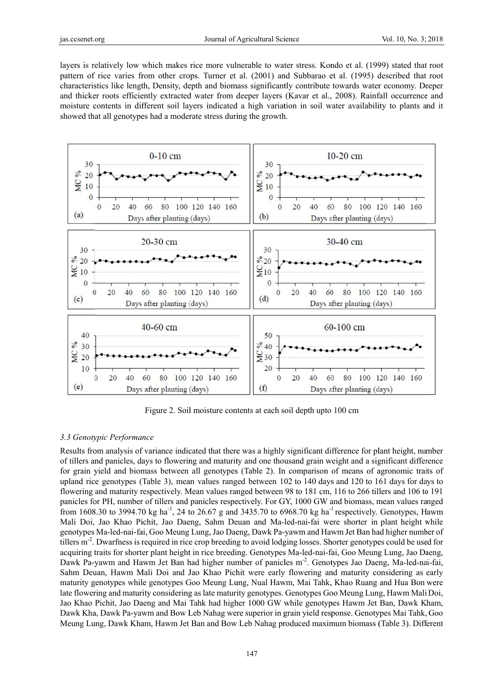layers is relatively low which makes rice more vulnerable to water stress. Kondo et al. (1999) stated that root pattern of rice varies from other crops. Turner et al. (2001) and Subbarao et al. (1995) described that root characteristics like length, Density, depth and biomass significantly contribute towards water economy. Deeper and thicker roots efficiently extracted water from deeper layers (Kavar et al., 2008). Rainfall occurrence and moisture contents in different soil layers indicated a high variation in soil water availability to plants and it showed that all genotypes had a moderate stress during the growth.



Figure 2. Soil moisture contents at each soil depth upto 100 cm

# 3.3 Genotypic Performance

Results from analysis of variance indicated that there was a highly significant difference for plant height, number of tillers and panicles, days to flowering and maturity and one thousand grain weight and a significant difference for grain yield and biomass between all genotypes (Table 2). In comparison of means of agronomic traits of upland rice genotypes (Table 3), mean values ranged between 102 to 140 days and 120 to 161 days for days to flowering and maturity respectively. Mean values ranged between 98 to 181 cm, 116 to 266 tillers and 106 to 191 panicles for PH, number of tillers and panicles respectively. For GY, 1000 GW and biomass, mean values ranged from 1608.30 to 3994.70 kg ha<sup>-1</sup>, 24 to 26.67 g and 3435.70 to 6968.70 kg ha<sup>-1</sup> respectively. Genotypes, Hawm Mali Doi, Jao Khao Pichit, Jao Daeng, Sahm Deuan and Ma-led-nai-fai were shorter in plant height while genotypes Ma-led-nai-fai, Goo Meung Lung, Jao Daeng, Dawk Pa-yawm and Hawm Jet Ban had higher number of tillers m<sup>-2</sup>. Dwarfness is required in rice crop breeding to avoid lodging losses. Shorter genotypes could be used for acquiring traits for shorter plant height in rice breeding. Genotypes Ma-led-nai-fai, Goo Meung Lung, Jao Daeng, Dawk Pa-yawm and Hawm Jet Ban had higher number of panicles m<sup>-2</sup>. Genotypes Jao Daeng, Ma-led-nai-fai, Sahm Deuan, Hawm Mali Doi and Jao Khao Pichit were early flowering and maturity considering as early maturity genotypes while genotypes Goo Meung Lung, Nual Hawm, Mai Tahk, Khao Ruang and Hua Bon were late flowering and maturity considering as late maturity genotypes. Genotypes Goo Meung Lung, Hawm Mali Doi, Jao Khao Pichit, Jao Daeng and Mai Tahk had higher 1000 GW while genotypes Hawm Jet Ban, Dawk Kham, Dawk Kha, Dawk Pa-yawm and Bow Leb Nahag were superior in grain yield response. Genotypes Mai Tahk, Goo Meung Lung, Dawk Kham, Hawm Jet Ban and Bow Leb Nahag produced maximum biomass (Table 3). Different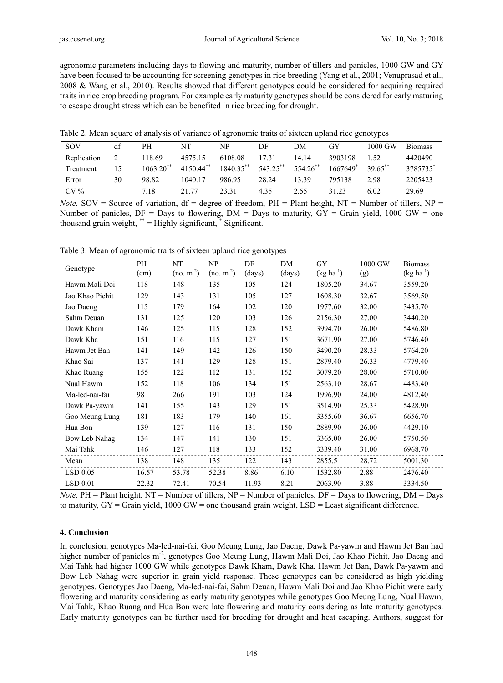agronomic parameters including days to flowing and maturity, number of tillers and panicles, 1000 GW and GY have been focused to be accounting for screening genotypes in rice breeding (Yang et al., 2001; Venuprasad et al., 2008 & Wang et al., 2010). Results showed that different genotypes could be considered for acquiring required traits in rice crop breeding program. For example early maturity genotypes should be considered for early maturing to escape drought stress which can be benefited in rice breeding for drought.

Table 2. Mean square of analysis of variance of agronomic traits of sixteen upland rice genotypes

| SOV         | df | PН                      | NT                     | NP        | DF       | DМ       | <b>GY</b> | 1000 GW               | <b>Biomass</b> |
|-------------|----|-------------------------|------------------------|-----------|----------|----------|-----------|-----------------------|----------------|
| Replication |    | 118.69                  | 4575.15                | 6108.08   | 1731     | 14.14    | 3903198   | 1.52                  | 4420490        |
| Treatment   | 15 | $1063.20$ <sup>**</sup> | $415044$ <sup>**</sup> | 1840.35** | 543.25** | 554.26** | 1667649   | $39.65$ <sup>**</sup> | 3785735        |
| Error       | 30 | 98.82                   | 1040.17                | 986.95    | 28.24    | 13.39    | 795138    | 2.98                  | 2205423        |
| $CV\%$      |    | 7.18                    | 21 77                  | 23.31     | 4 3 5    | 2.55     | 31 23     | 6.02                  | 29.69          |

*Note*. SOV = Source of variation,  $df = degree of freedom$ ,  $PH = Plant height$ ,  $NT = Number of tillers$ ,  $NP =$ Number of panicles,  $DF =$  Days to flowering,  $DM =$  Days to maturity,  $GY =$  Grain yield, 1000 GW = one thousand grain weight,  $*$  = Highly significant,  $*$  Significant.

Table 3. Mean of agronomic traits of sixteen upland rice genotypes

| Genotype        | PH    | NT          | NP          | DF     | DM     | <b>GY</b>      | 1000 GW | <b>Biomass</b> |
|-----------------|-------|-------------|-------------|--------|--------|----------------|---------|----------------|
|                 | (cm)  | $(no. m-2)$ | $(no. m-2)$ | (days) | (days) | $(kg ha^{-1})$ | (g)     | $(kg ha^{-1})$ |
| Hawm Mali Doi   | 118   | 148         | 135         | 105    | 124    | 1805.20        | 34.67   | 3559.20        |
| Jao Khao Pichit | 129   | 143         | 131         | 105    | 127    | 1608.30        | 32.67   | 3569.50        |
| Jao Daeng       | 115   | 179         | 164         | 102    | 120    | 1977.60        | 32.00   | 3435.70        |
| Sahm Deuan      | 131   | 125         | 120         | 103    | 126    | 2156.30        | 27.00   | 3440.20        |
| Dawk Kham       | 146   | 125         | 115         | 128    | 152    | 3994.70        | 26.00   | 5486.80        |
| Dawk Kha        | 151   | 116         | 115         | 127    | 151    | 3671.90        | 27.00   | 5746.40        |
| Hawm Jet Ban    | 141   | 149         | 142         | 126    | 150    | 3490.20        | 28.33   | 5764.20        |
| Khao Sai        | 137   | 141         | 129         | 128    | 151    | 2879.40        | 26.33   | 4779.40        |
| Khao Ruang      | 155   | 122         | 112         | 131    | 152    | 3079.20        | 28.00   | 5710.00        |
| Nual Hawm       | 152   | 118         | 106         | 134    | 151    | 2563.10        | 28.67   | 4483.40        |
| Ma-led-nai-fai  | 98    | 266         | 191         | 103    | 124    | 1996.90        | 24.00   | 4812.40        |
| Dawk Pa-yawm    | 141   | 155         | 143         | 129    | 151    | 3514.90        | 25.33   | 5428.90        |
| Goo Meung Lung  | 181   | 183         | 179         | 140    | 161    | 3355.60        | 36.67   | 6656.70        |
| Hua Bon         | 139   | 127         | 116         | 131    | 150    | 2889.90        | 26.00   | 4429.10        |
| Bow Leb Nahag   | 134   | 147         | 141         | 130    | 151    | 3365.00        | 26.00   | 5750.50        |
| Mai Tahk        | 146   | 127         | 118         | 133    | 152    | 3339.40        | 31.00   | 6968.70        |
| Mean            | 138   | 148         | 135         | 122    | 143    | 2855.5         | 28.72   | 5001.30        |
| $LSD$ 0.05      | 16.57 | 53.78       | 52.38       | 8.86   | 6.10   | 1532.80        | 2.88    | 2476.40        |
| $LSD$ 0.01      | 22.32 | 72.41       | 70.54       | 11.93  | 8.21   | 2063.90        | 3.88    | 3334.50        |

*Note*. PH = Plant height, NT = Number of tillers, NP = Number of panicles, DF = Days to flowering, DM = Days to maturity,  $GY =$  Grain yield, 1000 GW = one thousand grain weight,  $LSD =$  Least significant difference.

#### **4. Conclusion**

In conclusion, genotypes Ma-led-nai-fai, Goo Meung Lung, Jao Daeng, Dawk Pa-yawm and Hawm Jet Ban had higher number of panicles m<sup>-2</sup>, genotypes Goo Meung Lung, Hawm Mali Doi, Jao Khao Pichit, Jao Daeng and Mai Tahk had higher 1000 GW while genotypes Dawk Kham, Dawk Kha, Hawm Jet Ban, Dawk Pa-yawm and Bow Leb Nahag were superior in grain yield response. These genotypes can be considered as high yielding genotypes. Genotypes Jao Daeng, Ma-led-nai-fai, Sahm Deuan, Hawm Mali Doi and Jao Khao Pichit were early flowering and maturity considering as early maturity genotypes while genotypes Goo Meung Lung, Nual Hawm, Mai Tahk, Khao Ruang and Hua Bon were late flowering and maturity considering as late maturity genotypes. Early maturity genotypes can be further used for breeding for drought and heat escaping. Authors, suggest for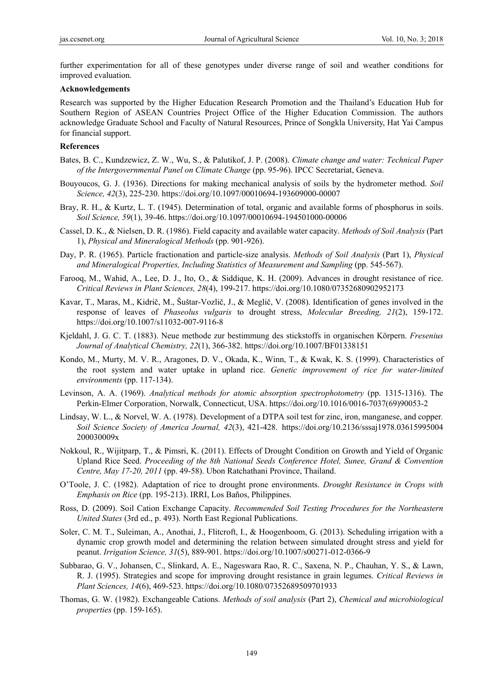further experimentation for all of these genotypes under diverse range of soil and weather conditions for improved evaluation.

#### **Acknowledgements**

Research was supported by the Higher Education Research Promotion and the Thailand's Education Hub for Southern Region of ASEAN Countries Project Office of the Higher Education Commission. The authors acknowledge Graduate School and Faculty of Natural Resources, Prince of Songkla University, Hat Yai Campus for financial support.

#### **References**

- Bates, B. C., Kundzewicz, Z. W., Wu, S., & Palutikof, J. P. (2008). *Climate change and water: Technical Paper of the Intergovernmental Panel on Climate Change* (pp. 95-96). IPCC Secretariat, Geneva.
- Bouyoucos, G. J. (1936). Directions for making mechanical analysis of soils by the hydrometer method. *Soil Science, 42*(3), 225-230. https://doi.org/10.1097/00010694-193609000-00007
- Bray, R. H., & Kurtz, L. T. (1945). Determination of total, organic and available forms of phosphorus in soils. *Soil Science, 59*(1), 39-46. https://doi.org/10.1097/00010694-194501000-00006
- Cassel, D. K., & Nielsen, D. R. (1986). Field capacity and available water capacity. *Methods of Soil Analysis* (Part 1), *Physical and Mineralogical Methods* (pp. 901-926).
- Day, P. R. (1965). Particle fractionation and particle-size analysis. *Methods of Soil Analysis* (Part 1), *Physical and Mineralogical Properties, Including Statistics of Measurement and Sampling* (pp. 545-567).
- Farooq, M., Wahid, A., Lee, D. J., Ito, O., & Siddique, K. H. (2009). Advances in drought resistance of rice. *Critical Reviews in Plant Sciences, 28*(4), 199-217. https://doi.org/10.1080/07352680902952173
- Kavar, T., Maras, M., Kidrič, M., Šuštar-Vozlič, J., & Meglič, V. (2008). Identification of genes involved in the response of leaves of *Phaseolus vulgaris* to drought stress, *Molecular Breeding, 21*(2), 159-172. https://doi.org/10.1007/s11032-007-9116-8
- Kjeldahl, J. G. C. T. (1883). Neue methode zur bestimmung des stickstoffs in organischen Körpern. *Fresenius Journal of Analytical Chemistry, 22*(1), 366-382. https://doi.org/10.1007/BF01338151
- Kondo, M., Murty, M. V. R., Aragones, D. V., Okada, K., Winn, T., & Kwak, K. S. (1999). Characteristics of the root system and water uptake in upland rice. *Genetic improvement of rice for water-limited environments* (pp. 117-134).
- Levinson, A. A. (1969). *Analytical methods for atomic absorption spectrophotometry* (pp. 1315-1316). The Perkin-Elmer Corporation, Norwalk, Connecticut, USA. https://doi.org/10.1016/0016-7037(69)90053-2
- Lindsay, W. L., & Norvel, W. A. (1978). Development of a DTPA soil test for zinc, iron, manganese, and copper. *Soil Science Society of America Journal, 42*(3), 421-428. https://doi.org/10.2136/sssaj1978.03615995004 200030009x
- Nokkoul, R., Wijitparp, T., & Pimsri, K. (2011). Effects of Drought Condition on Growth and Yield of Organic Upland Rice Seed. *Proceeding of the 8th National Seeds Conference Hotel, Sunee, Grand & Convention Centre, May 17-20, 2011* (pp. 49-58). Ubon Ratchathani Province, Thailand.
- O'Toole, J. C. (1982). Adaptation of rice to drought prone environments. *Drought Resistance in Crops with Emphasis on Rice* (pp. 195-213). IRRI, Los Baños, Philippines.
- Ross, D. (2009). Soil Cation Exchange Capacity. *Recommended Soil Testing Procedures for the Northeastern United States* (3rd ed., p. 493). North East Regional Publications.
- Soler, C. M. T., Suleiman, A., Anothai, J., Flitcroft, I., & Hoogenboom, G. (2013). Scheduling irrigation with a dynamic crop growth model and determining the relation between simulated drought stress and yield for peanut. *Irrigation Science, 31*(5), 889-901. https://doi.org/10.1007/s00271-012-0366-9
- Subbarao, G. V., Johansen, C., Slinkard, A. E., Nageswara Rao, R. C., Saxena, N. P., Chauhan, Y. S., & Lawn, R. J. (1995). Strategies and scope for improving drought resistance in grain legumes. *Critical Reviews in Plant Sciences, 14*(6), 469-523. https://doi.org/10.1080/07352689509701933
- Thomas, G. W. (1982). Exchangeable Cations. *Methods of soil analysis* (Part 2), *Chemical and microbiological properties* (pp. 159-165).